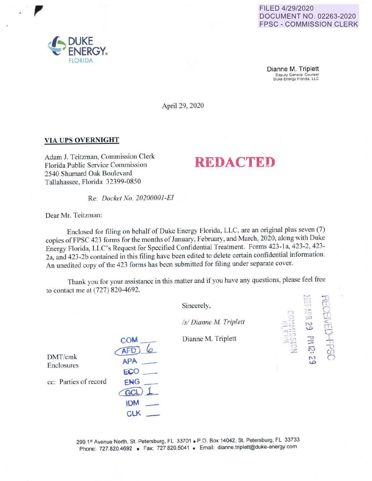FILED 4/29/2020 DOCUMENT NO. 02263-2020 **FPSC - COMMISSION CLERK** 

Dianne M. Triplett Deputy General Counsel<br>Duke Energy Florida, LLC

April 29, 2020

# **VIA UPS OVERNIGHT**

Adam J. Teitzman, Commission Clerk Florida Public Service Commission 2540 Shumard Oak Boulevard Tallahassee, Florida 32399-0850

Re: *Docket No. 20200001-EI* 

**COM** AFD)

 $APA =$ 

ECO.

ENG **GCL IDM** CLK \_

Dear Mr. Teitzman:

Enclosed for filing on behalf of Duke Energy Florida, LLC, are an original plus seven (7) copies of FPSC 423 forms for the months of January, February, and March, 2020, along with Duke Energy Florida, LLC's Request for Specified Confidential Treatment. Forms 423-1a, 423-2, 423-2a, and 423-2b contained in this filing have been edited to delete certain confidential information. An unedited copy of the 423 forms has been submitted for filing under separate cover.

Thank you for your assistance in this matter and if you have any questions, please feel free to contact me at (727) 820-4692.

| Sincerely,             |                       |  |
|------------------------|-----------------------|--|
| /s/ Dianne M. Triplett | 62 Nd                 |  |
| Dianne M. Triplett     | 귾                     |  |
|                        | $\tilde{\Sigma}$<br>S |  |
|                        |                       |  |
|                        |                       |  |

**REDACTED** 

DMT/cmk Enclosures

cc: Parties of record

299 1st Avenue North, St. Petersburg, FL 33701 - P.O. Box 14042, St. Petersburg, FL 33733 Phone: 727.820.4692 - Fax: 727.820.5041 - Email: dianne.triplett@duke-energy.com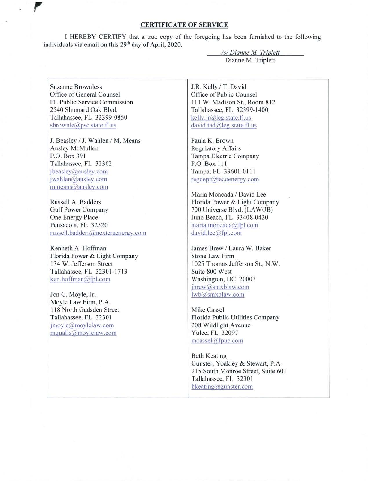## **CERTIFICATE OF SERVICE**

**l** HEREBY CERTIFY that a true copy of the foregoing has been furnished to the following individuals via email on this  $29<sup>th</sup>$  day of April, 2020.

> *Isl Dianne M Triplett*  Dianne M. Triplett

Suzanne Brownless Office of General Counsel FL Public Service Commission 2540 Shumard Oak Blvd. Tallahassee, FL 32399-0850 sbrownle@psc.state.fl.us

J. Beasley / J. Wahlen / M. Means Ausley McMullen P.O. Box 391 Tallahassee, FL 32302 jbeasley@ausley.com jwahlen@ausley.com mmeans@ausley.com

Russell A. Badders Gulf Power Company One Energy Place Pensacola, FL 32520 russell.badders@nexteraenergv.com

Kenneth A. Hoffman Florida Power & Light Company 134 W. Jefferson Street Tallahassee, FL 32301-1713 ken.hoffman@fpl.com

Jon C. Moyle, Jr. Moyle Law Firm, P.A. 118 North Gadsden Street Tallahassee, FL 32301 jmoyle@moylelaw.com mqualls@movlelaw.com

J.R. Kelly / T. David Office of Public Counsel 111 W. Madison St., Room 812 Tallahassee, FL 32399-1400 kelly.jr@leg.state.fl.us david.tad@leg.state.fl.us

Paula K. Brown Regulatory Affairs Tampa Electric Company P.O. Box 111 Tampa, FL 33601-0111 regdept@tecoenergy.com

Maria Moncada / David Lee Florida Power & Light Company 700 Universe Blvd. (LA W/JB) Juno Beach, FL 33408-0420 maria.moncada@fpl.com david.lee@fpl.com

James Brew / Laura W. Baker Stone Law Firm 1025 Thomas Jefferson St., N.W. Suite 800 West Washington, DC 20007 jbrew@smxblaw.com lwb@smxblaw.com

Mike Cassel Florida Public Utilities Company 208 Wildlight Avenue Yulee, FL 32097  $measured$ afpuc.com

Beth Keating Gunster, Yoakley & Stewart, P.A. 215 South Monroe Street, Suite 60 I Tallahassee, FL 32301 bkeating@gunster.com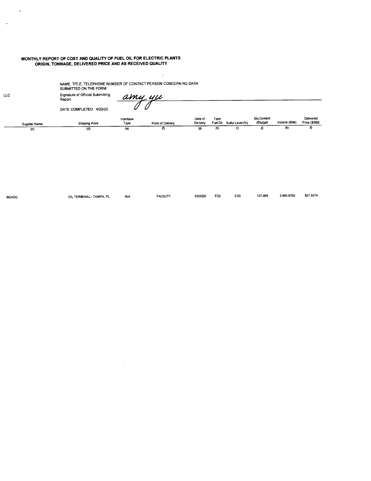#### **MONTHLY REPORT OF COST AND QUALITY OF FUEL OIL FOR ELECTRIC PLANTS ORIGIN, TONNAGE, DELIVERED PRICE AND AS RECEIVED QUALITY**

(d)

NAME, TITLE, TELEPHONE NUMBER OF CONTACT PERSON CONCERN NG DATA SUBMITTED ON THE FORM:

(e)

Signature of Official Submitting Report: <u>amy yu</u>  $\tilde{0}$ DATE COMPLETED: 4120120 **Btu Content Date of**  Type **Fuel Oil Sulfur Level(%)**  Delivered<br>Price (\$/Bbl) **Purchase**  Type Volume (Bbls) (Btu/gal) **Supplier Name Shipping Point Point of Delivery De ivery**   $(h)$  (i) Gl (k)  $\overline{\mathbf{r}}$ 

 $\hat{\vec{z}}$ 

 $\sqrt{ }$ 

(g)

INDIGO OIL TERMINAL- TAMPA, FL NIA FACILITY 0312020 F02 0.03 137,665 3,895.9762 \$57.9374

LLC

(c)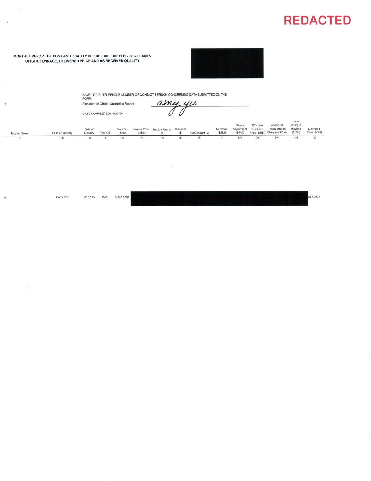

#### MONTHLY REPORT OF COST AND QUALITY OF FUEL OIL FOR ELECTRIC PLANTS ORIGIN, TONNAGE, DELIVERED PRICE AND AS RECEIVED QUALITY



NAME, TITLE, TELEPHONE NUMBER OF CONTACT PERSON CONCERNING DATA SUBMITTED ON THE FORM:

amy yu Signature of Official Submitting Report:  $\overline{\partial}$  $\hat{\overline{\mathcal{O}}}$ DATE COMPLETED: 4/20/20

|               |                   | Date of  |          | Volume |        | Invoice Price Invoice Amount Discount |     |                | Net Price           | Quality<br>Adjustment | Effective.<br>Purchase | Additional<br>Transportation             | Utilet<br>Charges<br>Incurred | Delivered           |
|---------------|-------------------|----------|----------|--------|--------|---------------------------------------|-----|----------------|---------------------|-----------------------|------------------------|------------------------------------------|-------------------------------|---------------------|
| Supplier Name | Point of Delivery | Delivery | Type Oil | (Bbls) | (S/Bb) | (S)                                   | (S) | Net Amount (S) | (S/Bb)              |                       |                        | (\$/Bbl) Price (\$/Bbl) Charges (\$/Bbl) | (S/Bbl)                       | Price (\$/Bbl)      |
| (c)           |                   | (e)      | (n)      | (q)    | (h)    | (1)                                   | (i) | (k)            | $\langle 1 \rangle$ | (m)                   | (n)                    | (0)                                      | (D)                           | $\langle q \rangle$ |

 $50$ 

 $\mathtt{C}$ 

ú.

 $\bar{y}$ 

FACILITY

03/2020 FO<sub>2</sub> 3,895.9762

\$57.9374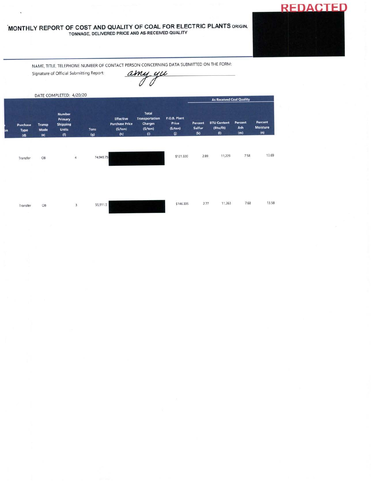# MONTHLY REPORT OF COST AND QUALITY OF COAL FOR ELECTRIC PLANTS ORIGIN, TONNAGE, DELIVERED PRICE AND AS-RECEIVED QUALITY



NAME, TITLE, TELEPHONE NUMBER OF CONTACT PERSON CONCERNING DATA SUBMITTED ON THE FORM:

Signature of Official Submitting Report:

amy yu

|    |                         |                              | DATE COMPLETED: 4/20/20                                            |                    |                                                             | Total<br><b>Transportation</b><br><b>Charges</b><br>(5/ton)<br>(i) | F.O.B. Plant<br>Price<br>(5/ton)<br>$\boldsymbol{0}$ | <b>As Received Coal Quality</b> |                                       |                       |                                   |  |
|----|-------------------------|------------------------------|--------------------------------------------------------------------|--------------------|-------------------------------------------------------------|--------------------------------------------------------------------|------------------------------------------------------|---------------------------------|---------------------------------------|-----------------------|-----------------------------------|--|
| þn | Purchase<br>Type<br>(d) | <b>Transp</b><br>Mode<br>(e) | <b>Number</b><br>Primary<br><b>Shipping</b><br><b>Units</b><br>(1) | <b>Tons</b><br>(g) | <b>Effective</b><br><b>Purchase Price</b><br>(S/ton)<br>(h) |                                                                    |                                                      | Percent<br>Sulfur<br>(k)        | <b>BTU Content</b><br>(Btu/lb)<br>(1) | Percent<br>Ash<br>(m) | Percent<br><b>Moisture</b><br>(n) |  |
|    | Transfer                | OB                           | $\overline{\mathbf{4}}$                                            | 74,949.75          |                                                             |                                                                    | \$121.320                                            | 2.89                            | 11,229                                | 7.58<br>- - -         | 13.69                             |  |

Transfer

OB

 $\overline{3}$ 

55,911.5

13.58 7.68 \$146.335  $2.77$ 11,263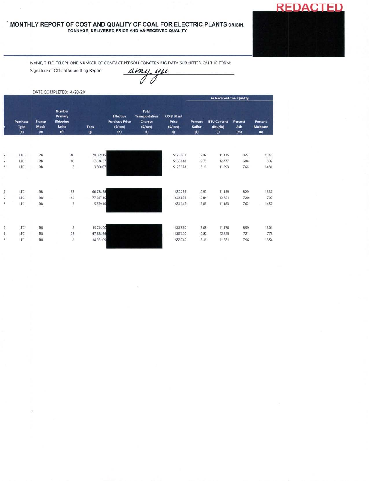## **MONTHLY REPORT OF COST AND QUALITY OF COAL FOR ELECTRIC PLANTS** ORIGIN, TONNAGE, DELIVERED PRICE ANO AS-RECEIVED QUALITY

**REDACTED** 

NAME, TITLE, TELEPHONE NUMBER OF CONTACT PERSON CONCERNING DATA SUBMITTED ON THE FORM:

Signature of Official Submitting Report:

amy yu

DATE COMPLETED: 4/20/20

|                |                                |                                     |                                                                    |                    | <b>Effective</b><br><b>Purchase Price</b><br>(5/ton)<br>(h) | <b>Total</b><br><b>Transportation</b><br><b>Charges</b><br>(5/ton)<br>(i) | F.O.B. Plant<br>Price<br>(S/ton)<br>$\omega$ | <b>As Received Coal Quality</b> |                                                     |                              |                                   |  |
|----------------|--------------------------------|-------------------------------------|--------------------------------------------------------------------|--------------------|-------------------------------------------------------------|---------------------------------------------------------------------------|----------------------------------------------|---------------------------------|-----------------------------------------------------|------------------------------|-----------------------------------|--|
|                | Purchase<br><b>Type</b><br>(d) | <b>Transp</b><br><b>Mode</b><br>(e) | <b>Number</b><br>Primary<br><b>Shipping</b><br><b>Units</b><br>(f) | <b>Tons</b><br>(g) |                                                             |                                                                           |                                              | Percent<br>Sulfur<br>(k)        | <b>BTU Content</b><br>(Btu/lb)<br>$\left( 0\right)$ | <b>Percent</b><br>Ash<br>(m) | Percent<br><b>Moisture</b><br>(n) |  |
|                |                                |                                     |                                                                    |                    |                                                             |                                                                           |                                              |                                 |                                                     |                              |                                   |  |
| 5              | LTC                            | <b>RB</b>                           | 40                                                                 | 79,369.15          |                                                             |                                                                           | \$128.881                                    | 2.92                            | 11,135                                              | 8.27                         | 13.46                             |  |
| S.             | LTC                            | <b>RB</b>                           | 10                                                                 | 17,836.37          |                                                             |                                                                           | \$135.818                                    | 2.75                            | 12,777                                              | 6.84                         | 8.02                              |  |
| $\overline{7}$ | LTC                            | RB                                  | $\overline{2}$                                                     | 3,500.07           |                                                             |                                                                           | \$125.378                                    | 3.16                            | 11,093                                              | 7.66                         | 14.81                             |  |
|                |                                |                                     |                                                                    |                    |                                                             |                                                                           |                                              |                                 |                                                     |                              |                                   |  |
| S.             | LTC                            | RB                                  | 33                                                                 | 60,738.58          |                                                             |                                                                           | \$59.286                                     | 2.92                            | 11,159                                              | 8.29                         | 13.37                             |  |
| 5              | LTC                            | <b>RB</b>                           | 43                                                                 | 77,587.16          |                                                             |                                                                           | \$64.878                                     | 2.84                            | 12,721                                              | 7.20                         | 7.97                              |  |
| $\overline{7}$ | LTC                            | <b>RB</b>                           | 3                                                                  | 5,559.10           |                                                             |                                                                           | \$54,346                                     | 3.03                            | 11,183                                              | 7.62                         | 14.57                             |  |
| $\overline{5}$ | LTC                            | <b>RB</b>                           | 8                                                                  | 15,746.90          |                                                             |                                                                           | \$61.560                                     | 3.08                            | 11,170                                              | 8.59                         | 13.01                             |  |
| 5              | LTC                            | <b>RB</b>                           | 26                                                                 | 47,628.66          |                                                             |                                                                           | \$67,320                                     | 2.82                            | 12,725                                              | 7.21                         | 7.73                              |  |
| $\overline{7}$ | LTC                            | RB                                  | 8                                                                  | 14,021.09          |                                                             |                                                                           | \$56.740                                     | 3.16                            | 11,281                                              | 7.96                         | 13.54                             |  |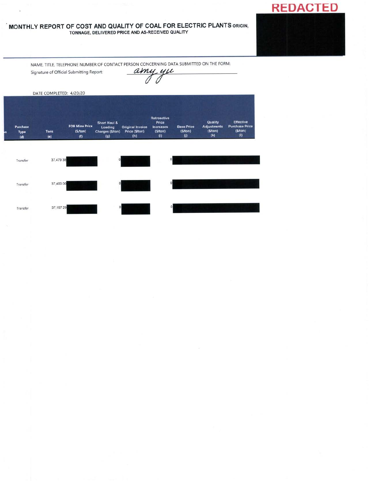# **MONTHLY REPORT OF COST AND QUALITY OF COAL FOR ELECTRIC PLANTS** ORIGIN, TONNAGE, DELIVERED PRICE AND AS-RECEIVED QUALITY<br>
TONNAGE, DELIVERED PRICE AND AS-RECEIVED QUALITY<br>
Signature of Official Submitting Report:<br>
DATE COMPLETED: 4/20/20

NAME, TITLE, TELEPHONE NUMBER OF CONTACT PERSON CONCERNING DATA SUBMITTED ON THE FORM:

**REDACTED** 

|    |                         | DATE COMPLETED: 4/20/20 |                                         |                                                    |                                                  |                                                                     |                                          |                                                  |                                                                           |
|----|-------------------------|-------------------------|-----------------------------------------|----------------------------------------------------|--------------------------------------------------|---------------------------------------------------------------------|------------------------------------------|--------------------------------------------------|---------------------------------------------------------------------------|
| ۱n | Purchase<br>Type<br>(d) | <b>Tons</b><br>(e)      | <b>FOB Mine Price</b><br>(S/ton)<br>(f) | Short Haul &<br>Loading<br>Charges (\$/ton)<br>(g) | <b>Original Invoice</b><br>Price (\$/ton)<br>(h) | Retroactive<br>Price<br><b>Increases</b><br>(\$/ton)<br>$\vert$ (i) | <b>Base Price</b><br>(5/ton)<br>$\omega$ | Quality<br><b>Adjustments</b><br>(\$/ton)<br>(k) | <b>Effective</b><br><b>Purchase Price</b><br>(S/ton)<br>$\left( 0\right)$ |
|    | Transfer                | 37,479 38               |                                         | $\circ$                                            |                                                  | $\circ$                                                             |                                          |                                                  |                                                                           |
|    | Transfer                | 37,400 00               |                                         | $\circ$                                            |                                                  |                                                                     | 0l                                       |                                                  |                                                                           |
|    | Transfer                | 37,197 29               |                                         | $\circ$                                            |                                                  |                                                                     | $\circ$                                  |                                                  |                                                                           |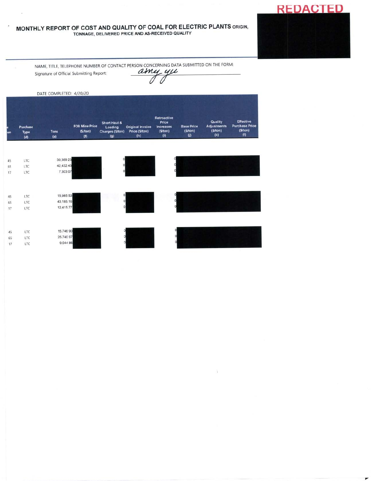# MONTHLY REPORT OF COST AND QUALITY OF COAL FOR ELECTRIC PLANTS ORIGIN, TONNAGE, DELIVERED PRICE AND AS-RECEIVED QUALITY

NAME, TITLE, TELEPHONE NUMBER OF CONTACT PERSON CONCERNING DATA SUBMITTED ON THE FORM: Signature of Official Submitting Report:

amy yu

N.

**REDACTED** 

۳

|     |                                | DATE COMPLETED: 4/20/20 |                                         |                                                          |                                                  |                                                                   |                                              |                                                 |                                                             |
|-----|--------------------------------|-------------------------|-----------------------------------------|----------------------------------------------------------|--------------------------------------------------|-------------------------------------------------------------------|----------------------------------------------|-------------------------------------------------|-------------------------------------------------------------|
| lon | Purchase<br><b>Type</b><br>(d) | <b>Tons</b><br>(e)      | <b>FOB Mine Price</b><br>(5/ton)<br>(f) | Short Haul &<br>Loading<br><b>Charges (S/ton)</b><br>(g) | <b>Original Invoice</b><br>Price (\$/ton)<br>(h) | <b>Retroactive</b><br>Price<br><b>Increases</b><br>(S/ton)<br>(i) | <b>Base Price</b><br>(S/ton)<br>$\mathbf{u}$ | Quality<br><b>Adjustments</b><br>(5/ton)<br>(k) | <b>Effective</b><br><b>Purchase Price</b><br>(S/ton)<br>(1) |
|     |                                |                         |                                         |                                                          |                                                  |                                                                   |                                              |                                                 |                                                             |
| 45  | <b>LTC</b>                     | 30,389 23               |                                         |                                                          |                                                  |                                                                   |                                              |                                                 |                                                             |
| 65  | LTC                            | 42,432.43               |                                         | $\Omega$                                                 |                                                  |                                                                   |                                              |                                                 |                                                             |
| 17  | LTC                            | 7,303 07                |                                         | 0                                                        |                                                  |                                                                   |                                              |                                                 |                                                             |
| 45  | LTC                            | 15,985 53               |                                         | $\circ$                                                  |                                                  |                                                                   |                                              |                                                 |                                                             |
| 65  | LTC                            | 43,185.16               |                                         | $\circ$                                                  |                                                  |                                                                   |                                              |                                                 |                                                             |
| 17  | LTC                            | 12,415.77               |                                         |                                                          | $\Omega$                                         |                                                                   |                                              |                                                 |                                                             |
| 45  | LTC                            | 15,746 90               |                                         |                                                          |                                                  |                                                                   |                                              |                                                 |                                                             |
| 65  | LTC                            | 25,740 97               |                                         |                                                          |                                                  |                                                                   |                                              |                                                 |                                                             |
| 17  | LTC                            | 9,044 86                |                                         |                                                          |                                                  |                                                                   |                                              |                                                 |                                                             |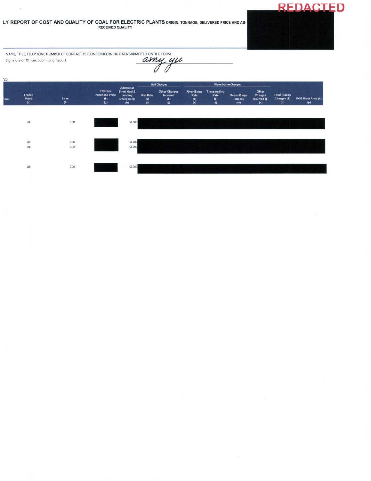### LY REPORT OF COST AND QUALITY OF COAL FOR ELECTRIC PLANTS ORIGIN, TONNAGE, DELIVERED PRICE AND AS-**RECEIVED QUALITY**

NAME, TITLE, TELEPHONE NUMBER OF CONTACT PERSON CONCERNING DATA SUBMITTED ON THE FORM: amy yu Signature of Official Submitting Report:  $\overline{\mathcal{O}}$  $\overline{\mathscr{O}}$ 

ü

 $20$  $\begin{array}{c}\n\text{Transloa:} \\
\text{Rate:} \\
\text{(5)} \\
\text{(I)}\n\end{array}$ Rail Ch Additional<br>Short Haul &<br>Loading River Barge<br>Rate<br>(\$)<br>(k) Other<br>Charges<br>Incurred (\$) Other Charges<br>Incurred Effectiv Total Transp<br>Charges (\$)<br>(o) Transp<br>Mode<br>(e) iase **Rail Rate** Ocean Barge FOB Plant Price (\$) Tons<br>(f) Charges  $(5)$ <br> $(h)$  $\frac{\text{Rate (5)}}{\text{(m)}}$  $\binom{5}{9}$  $\binom{5}{0}$  $\binom{5}{0}$  $\frac{1}{n}$  $_{\sf UR}$  $0.00$ \$0,000 UR  $0.00$ \$0,000 \$0,000  $OB$  $0.00$  $\mathsf{UR}$  $0.00$ \$0,000

**REDACTED**